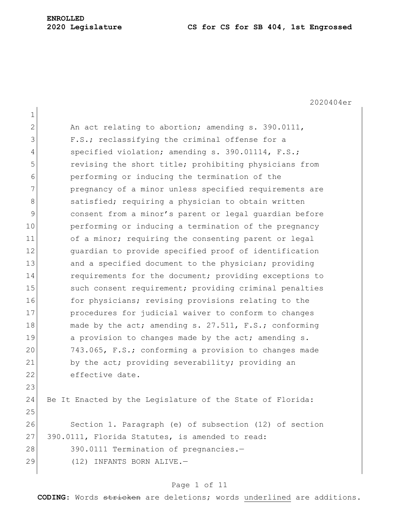# **ENROLLED**

#### **2020 Legislature CS for CS for SB 404, 1st Engrossed**

2020404er 1 2 An act relating to abortion; amending s. 390.0111, 3 F.S.; reclassifying the criminal offense for a 4 specified violation; amending s. 390.01114, F.S.; 5 revising the short title; prohibiting physicians from 6 performing or inducing the termination of the 7 **pregnancy of a minor unless specified requirements are** 8 Satisfied; requiring a physician to obtain written 9 consent from a minor's parent or legal guardian before 10 **performing or inducing a termination of the pregnancy** 11 of a minor; requiring the consenting parent or legal 12 quardian to provide specified proof of identification 13 and a specified document to the physician; providing 14 requirements for the document; providing exceptions to 15 such consent requirement; providing criminal penalties 16 for physicians; revising provisions relating to the 17 procedures for judicial waiver to conform to changes 18 made by the act; amending s. 27.511, F.S.; conforming 19 a provision to changes made by the act; amending s. 20 743.065, F.S.; conforming a provision to changes made 21 by the act; providing severability; providing an 22 effective date. 23 24 Be It Enacted by the Legislature of the State of Florida: 25 26 Section 1. Paragraph (e) of subsection (12) of section 27 390.0111, Florida Statutes, is amended to read: 28 390.0111 Termination of pregnancies.-29 (12) INFANTS BORN ALIVE.-

#### Page 1 of 11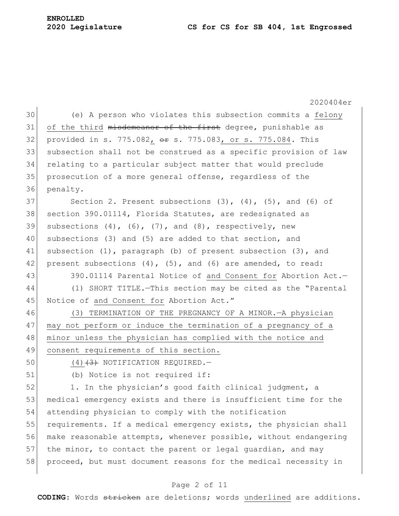#### **2020 Legislature CS for CS for SB 404, 1st Engrossed**

## **ENROLLED**

2020404er 30 (e) A person who violates this subsection commits a felony  $31$  of the third misdemeanor of the first degree, punishable as 32 provided in s. 775.082, or s. 775.083, or s. 775.084. This 33 subsection shall not be construed as a specific provision of law 34 relating to a particular subject matter that would preclude 35 prosecution of a more general offense, regardless of the 36 penalty. 37 Section 2. Present subsections  $(3)$ ,  $(4)$ ,  $(5)$ , and  $(6)$  of 38 section 390.01114, Florida Statutes, are redesignated as 39 subsections  $(4)$ ,  $(6)$ ,  $(7)$ , and  $(8)$ , respectively, new 40 subsections (3) and (5) are added to that section, and 41 subsection (1), paragraph (b) of present subsection (3), and 42 present subsections  $(4)$ ,  $(5)$ , and  $(6)$  are amended, to read: 43 390.01114 Parental Notice of and Consent for Abortion Act.-44 (1) SHORT TITLE.—This section may be cited as the "Parental 45 Notice of and Consent for Abortion Act." 46 (3) TERMINATION OF THE PREGNANCY OF A MINOR.—A physician 47 may not perform or induce the termination of a pregnancy of a 48 minor unless the physician has complied with the notice and 49 consent requirements of this section. 50  $(4)$   $(3)$  NOTIFICATION REQUIRED. 51 (b) Notice is not required if: 52 1. In the physician's good faith clinical judgment, a 53 medical emergency exists and there is insufficient time for the 54 attending physician to comply with the notification 55 requirements. If a medical emergency exists, the physician shall 56 make reasonable attempts, whenever possible, without endangering 57 the minor, to contact the parent or legal guardian, and may 58 proceed, but must document reasons for the medical necessity in

### Page 2 of 11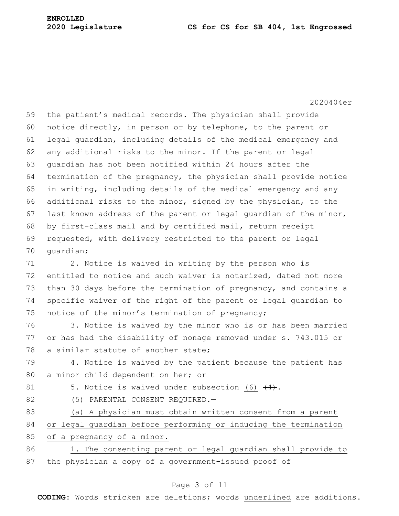59 the patient's medical records. The physician shall provide 60 notice directly, in person or by telephone, to the parent or 61 legal guardian, including details of the medical emergency and  $62$  any additional risks to the minor. If the parent or legal 63 quardian has not been notified within 24 hours after the 64 termination of the pregnancy, the physician shall provide notice 65 in writing, including details of the medical emergency and any 66 additional risks to the minor, signed by the physician, to the 67 last known address of the parent or legal quardian of the minor, 68 by first-class mail and by certified mail, return receipt 69 requested, with delivery restricted to the parent or legal 70 guardian;

71 2. Notice is waived in writing by the person who is  $72$  entitled to notice and such waiver is notarized, dated not more 73 than 30 days before the termination of pregnancy, and contains a 74 specific waiver of the right of the parent or legal guardian to 75 notice of the minor's termination of pregnancy;

76 3. Notice is waived by the minor who is or has been married 77 or has had the disability of nonage removed under s. 743.015 or 78 a similar statute of another state;

79 4. Notice is waived by the patient because the patient has 80 a minor child dependent on her; or

81 5. Notice is waived under subsection (6)  $\left(4\right)$ .

82 (5) PARENTAL CONSENT REQUIRED.

83 (a) A physician must obtain written consent from a parent 84 or legal guardian before performing or inducing the termination 85 of a pregnancy of a minor.

86 1. The consenting parent or legal guardian shall provide to 87 the physician a copy of a government-issued proof of

#### Page 3 of 11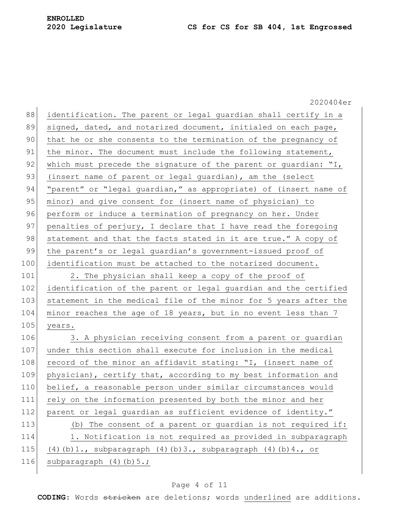2020404er 88 identification. The parent or legal quardian shall certify in a 89 signed, dated, and notarized document, initialed on each page, 90 that he or she consents to the termination of the pregnancy of 91 the minor. The document must include the following statement, 92 which must precede the signature of the parent or guardian: "I, 93 (insert name of parent or legal quardian), am the (select 94 "parent" or "legal guardian," as appropriate) of (insert name of 95 minor) and give consent for (insert name of physician) to 96 perform or induce a termination of pregnancy on her. Under 97 penalties of perjury, I declare that I have read the foregoing 98 statement and that the facts stated in it are true." A copy of 99 the parent's or legal quardian's government-issued proof of 100 identification must be attached to the notarized document. 101 2. The physician shall keep a copy of the proof of 102 identification of the parent or legal guardian and the certified 103 statement in the medical file of the minor for 5 years after the 104 | minor reaches the age of 18 years, but in no event less than 7 105 years. 106 3. A physician receiving consent from a parent or guardian 107 under this section shall execute for inclusion in the medical 108 record of the minor an affidavit stating: "I, (insert name of 109 physician), certify that, according to my best information and 110 belief, a reasonable person under similar circumstances would 111 rely on the information presented by both the minor and her 112 parent or legal guardian as sufficient evidence of identity." 113 (b) The consent of a parent or guardian is not required if: 114 1. Notification is not required as provided in subparagraph 115 (4)(b)1., subparagraph (4)(b)3., subparagraph (4)(b)4., or 116 subparagraph  $(4)(b)5$ .;

#### Page 4 of 11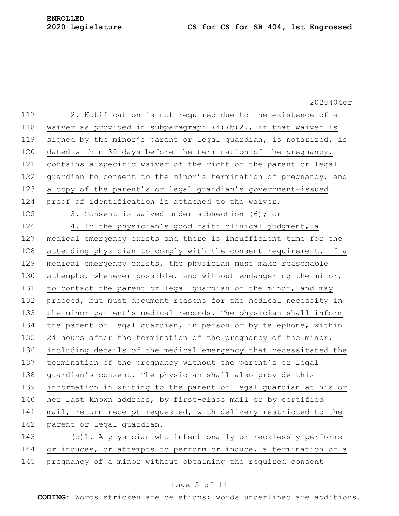2020404er 117 2. Notification is not required due to the existence of a 118 waiver as provided in subparagraph  $(4)(b)$  2., if that waiver is 119 signed by the minor's parent or legal guardian, is notarized, is 120 dated within 30 days before the termination of the pregnancy, 121 contains a specific waiver of the right of the parent or legal 122 quardian to consent to the minor's termination of pregnancy, and 123 a copy of the parent's or legal guardian's government-issued 124 proof of identification is attached to the waiver; 125 3. Consent is waived under subsection (6); or 126 4. In the physician's good faith clinical judgment, a 127 medical emergency exists and there is insufficient time for the 128 attending physician to comply with the consent requirement. If a 129 medical emergency exists, the physician must make reasonable 130 attempts, whenever possible, and without endangering the minor, 131 to contact the parent or legal guardian of the minor, and may 132 proceed, but must document reasons for the medical necessity in 133 the minor patient's medical records. The physician shall inform 134 the parent or legal guardian, in person or by telephone, within 135 24 hours after the termination of the pregnancy of the minor, 136 including details of the medical emergency that necessitated the 137 termination of the pregnancy without the parent's or legal 138 guardian's consent. The physician shall also provide this 139 information in writing to the parent or legal guardian at his or 140 her last known address, by first-class mail or by certified 141 mail, return receipt requested, with delivery restricted to the 142 parent or legal guardian. 143 (c)1. A physician who intentionally or recklessly performs 144 or induces, or attempts to perform or induce, a termination of a 145 pregnancy of a minor without obtaining the required consent

### Page 5 of 11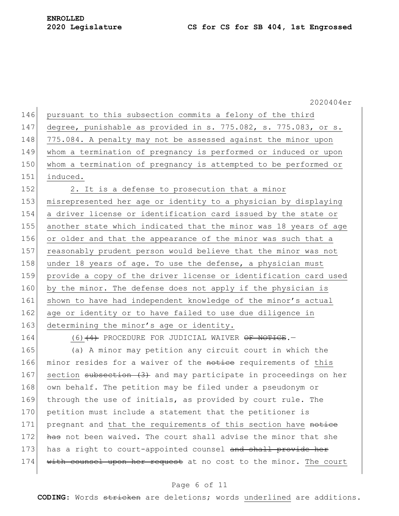146 pursuant to this subsection commits a felony of the third 147 degree, punishable as provided in s. 775.082, s. 775.083, or s. 148 775.084. A penalty may not be assessed against the minor upon 149 whom a termination of pregnancy is performed or induced or upon 150 whom a termination of pregnancy is attempted to be performed or 151 induced. 152 2. It is a defense to prosecution that a minor 153 misrepresented her age or identity to a physician by displaying 154 a driver license or identification card issued by the state or 155 another state which indicated that the minor was 18 years of age 156 or older and that the appearance of the minor was such that a 157 reasonably prudent person would believe that the minor was not 158 under 18 years of age. To use the defense, a physician must 159 provide a copy of the driver license or identification card used 160 by the minor. The defense does not apply if the physician is 161 shown to have had independent knowledge of the minor's actual 162 age or identity or to have failed to use due diligence in 163 determining the minor's age or identity. 164 (6)<del>(4)</del> PROCEDURE FOR JUDICIAL WAIVER OF NOTICE.

165 (a) A minor may petition any circuit court in which the 166 minor resides for a waiver of the notice requirements of this 167 section subsection (3) and may participate in proceedings on her 168 own behalf. The petition may be filed under a pseudonym or 169 through the use of initials, as provided by court rule. The 170 petition must include a statement that the petitioner is 171 pregnant and that the requirements of this section have notice 172 has not been waived. The court shall advise the minor that she 173 has a right to court-appointed counsel and shall provide her 174 with counsel upon her request at no cost to the minor. The court

#### Page 6 of 11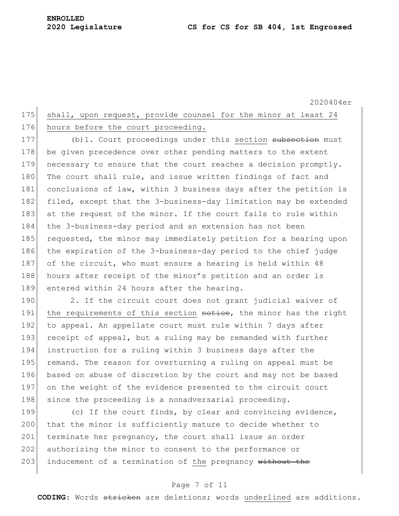## 175 shall, upon request, provide counsel for the minor at least 24 176 hours before the court proceeding.

177 (b) 1. Court proceedings under this section subsection must 178 be given precedence over other pending matters to the extent 179 necessary to ensure that the court reaches a decision promptly. 180 The court shall rule, and issue written findings of fact and 181 conclusions of law, within 3 business days after the petition is 182 filed, except that the 3-business-day limitation may be extended 183 at the request of the minor. If the court fails to rule within 184 the 3-business-day period and an extension has not been 185 requested, the minor may immediately petition for a hearing upon 186 the expiration of the 3-business-day period to the chief judge 187 of the circuit, who must ensure a hearing is held within 48 188 hours after receipt of the minor's petition and an order is 189 entered within 24 hours after the hearing.

190 2. If the circuit court does not grant judicial waiver of 191 the requirements of this section notice, the minor has the right 192 to appeal. An appellate court must rule within 7 days after 193 receipt of appeal, but a ruling may be remanded with further 194 instruction for a ruling within 3 business days after the 195 remand. The reason for overturning a ruling on appeal must be 196 based on abuse of discretion by the court and may not be based 197 on the weight of the evidence presented to the circuit court 198 since the proceeding is a nonadversarial proceeding.

199  $\vert$  (c) If the court finds, by clear and convincing evidence, 200 that the minor is sufficiently mature to decide whether to 201 terminate her pregnancy, the court shall issue an order 202 authorizing the minor to consent to the performance or 203 inducement of a termination of the pregnancy  $\texttt{without the}$ 

#### Page 7 of 11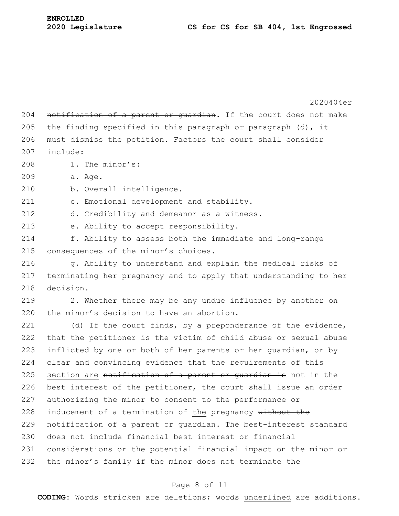# **ENROLLED**

2020404er  $204$  notification of a parent or guardian. If the court does not make 205 the finding specified in this paragraph or paragraph  $(d)$ , it 206 must dismiss the petition. Factors the court shall consider  $207$  include: 208 1. The minor's: 209 a. Age. 210 b. Overall intelligence. 211 c. Emotional development and stability. 212 d. Credibility and demeanor as a witness. 213 e. Ability to accept responsibility. 214 f. Ability to assess both the immediate and long-range 215 consequences of the minor's choices. 216 g. Ability to understand and explain the medical risks of 217 terminating her pregnancy and to apply that understanding to her 218 decision.  $219$  2. Whether there may be any undue influence by another on 220 the minor's decision to have an abortion. 221 (d) If the court finds, by a preponderance of the evidence, 222 that the petitioner is the victim of child abuse or sexual abuse 223 inflicted by one or both of her parents or her guardian, or by 224 clear and convincing evidence that the requirements of this  $225$  section are notification of a parent or quardian is not in the 226 best interest of the petitioner, the court shall issue an order 227 authorizing the minor to consent to the performance or 228 inducement of a termination of the pregnancy  $\text{without}$  the 229 notification of a parent or guardian. The best-interest standard 230 does not include financial best interest or financial 231 considerations or the potential financial impact on the minor or 232 the minor's family if the minor does not terminate the

#### Page 8 of 11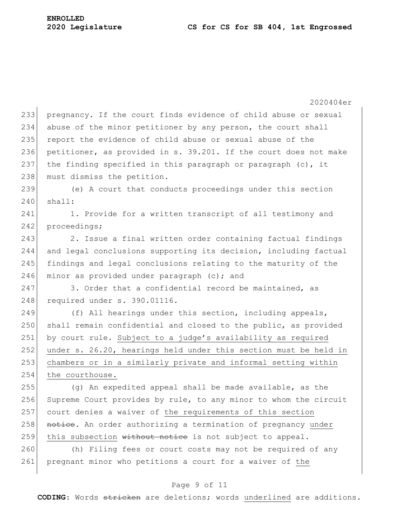2020404er 233 pregnancy. If the court finds evidence of child abuse or sexual 234 abuse of the minor petitioner by any person, the court shall 235 report the evidence of child abuse or sexual abuse of the 236 petitioner, as provided in s. 39.201. If the court does not make 237 the finding specified in this paragraph or paragraph  $(c)$ , it 238 must dismiss the petition. 239 (e) A court that conducts proceedings under this section  $240$  shall: 241 1. Provide for a written transcript of all testimony and 242 proceedings; 243 2. Issue a final written order containing factual findings 244 and legal conclusions supporting its decision, including factual 245 findings and legal conclusions relating to the maturity of the 246 minor as provided under paragraph  $(c)$ ; and  $247$  3. Order that a confidential record be maintained, as 248 required under s. 390.01116. 249  $( f )$  All hearings under this section, including appeals, 250 shall remain confidential and closed to the public, as provided  $251$  by court rule. Subject to a judge's availability as required 252 under s. 26.20, hearings held under this section must be held in 253 chambers or in a similarly private and informal setting within 254 the courthouse. 255 (g) An expedited appeal shall be made available, as the 256 Supreme Court provides by rule, to any minor to whom the circuit 257 court denies a waiver of the requirements of this section 258 notice. An order authorizing a termination of pregnancy under 259 this subsection  $\overline{\text{without}}$  notice is not subject to appeal. 260 (h) Filing fees or court costs may not be required of any 261 pregnant minor who petitions a court for a waiver of the

#### Page 9 of 11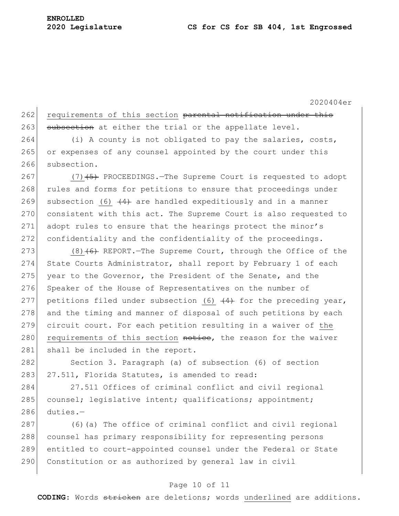## 262 requirements of this section parental notification under this 263 subsection at either the trial or the appellate level.

 $264$  (i) A county is not obligated to pay the salaries, costs, 265 or expenses of any counsel appointed by the court under this 266 subsection.

267 (7)  $(7)$  (5) PROCEEDINGS.—The Supreme Court is requested to adopt 268 rules and forms for petitions to ensure that proceedings under 269 subsection (6)  $\left(4\right)$  are handled expeditiously and in a manner 270 consistent with this act. The Supreme Court is also requested to 271 adopt rules to ensure that the hearings protect the minor's 272 confidentiality and the confidentiality of the proceedings.

273 (8) $(6)$  REPORT. The Supreme Court, through the Office of the 274 State Courts Administrator, shall report by February 1 of each 275 year to the Governor, the President of the Senate, and the 276 Speaker of the House of Representatives on the number of 277 petitions filed under subsection (6)  $\left(4\right)$  for the preceding year, 278 and the timing and manner of disposal of such petitions by each 279 circuit court. For each petition resulting in a waiver of the 280 requirements of this section notice, the reason for the waiver 281 shall be included in the report.

282 Section 3. Paragraph (a) of subsection (6) of section 283 27.511, Florida Statutes, is amended to read:

284 27.511 Offices of criminal conflict and civil regional 285 counsel; legislative intent; qualifications; appointment;  $286$  duties.-

287 (6) (a) The office of criminal conflict and civil regional 288 counsel has primary responsibility for representing persons 289 entitled to court-appointed counsel under the Federal or State 290 Constitution or as authorized by general law in civil

#### Page 10 of 11